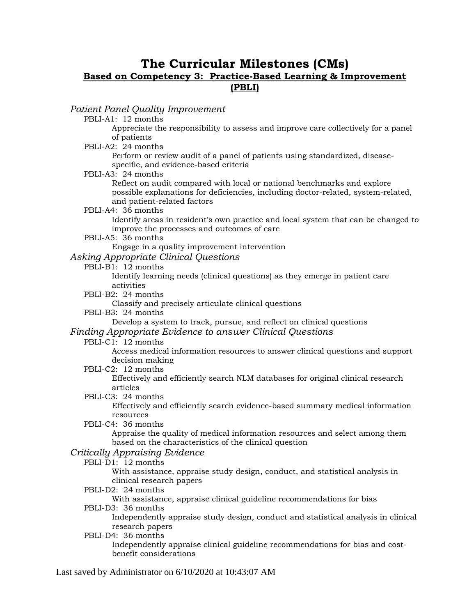# **The Curricular Milestones (CMs) Based on Competency 3: Practice-Based Learning & Improvement (PBLI)**

*Patient Panel Quality Improvement*

PBLI-A1: 12 months

Appreciate the responsibility to assess and improve care collectively for a panel of patients

PBLI-A2: 24 months

Perform or review audit of a panel of patients using standardized, diseasespecific, and evidence-based criteria

PBLI-A3: 24 months

Reflect on audit compared with local or national benchmarks and explore possible explanations for deficiencies, including doctor-related, system-related, and patient-related factors

PBLI-A4: 36 months

Identify areas in resident's own practice and local system that can be changed to improve the processes and outcomes of care

PBLI-A5: 36 months

Engage in a quality improvement intervention

## *Asking Appropriate Clinical Questions*

PBLI-B1: 12 months

Identify learning needs (clinical questions) as they emerge in patient care activities

PBLI-B2: 24 months

Classify and precisely articulate clinical questions

PBLI-B3: 24 months

Develop a system to track, pursue, and reflect on clinical questions

# *Finding Appropriate Evidence to answer Clinical Questions*

PBLI-C1: 12 months

Access medical information resources to answer clinical questions and support decision making

PBLI-C2: 12 months

Effectively and efficiently search NLM databases for original clinical research articles

PBLI-C3: 24 months

Effectively and efficiently search evidence-based summary medical information resources

PBLI-C4: 36 months

Appraise the quality of medical information resources and select among them based on the characteristics of the clinical question

# *Critically Appraising Evidence*

PBLI-D1: 12 months

With assistance, appraise study design, conduct, and statistical analysis in clinical research papers

PBLI-D2: 24 months

With assistance, appraise clinical guideline recommendations for bias

PBLI-D3: 36 months

Independently appraise study design, conduct and statistical analysis in clinical research papers

PBLI-D4: 36 months

Independently appraise clinical guideline recommendations for bias and costbenefit considerations